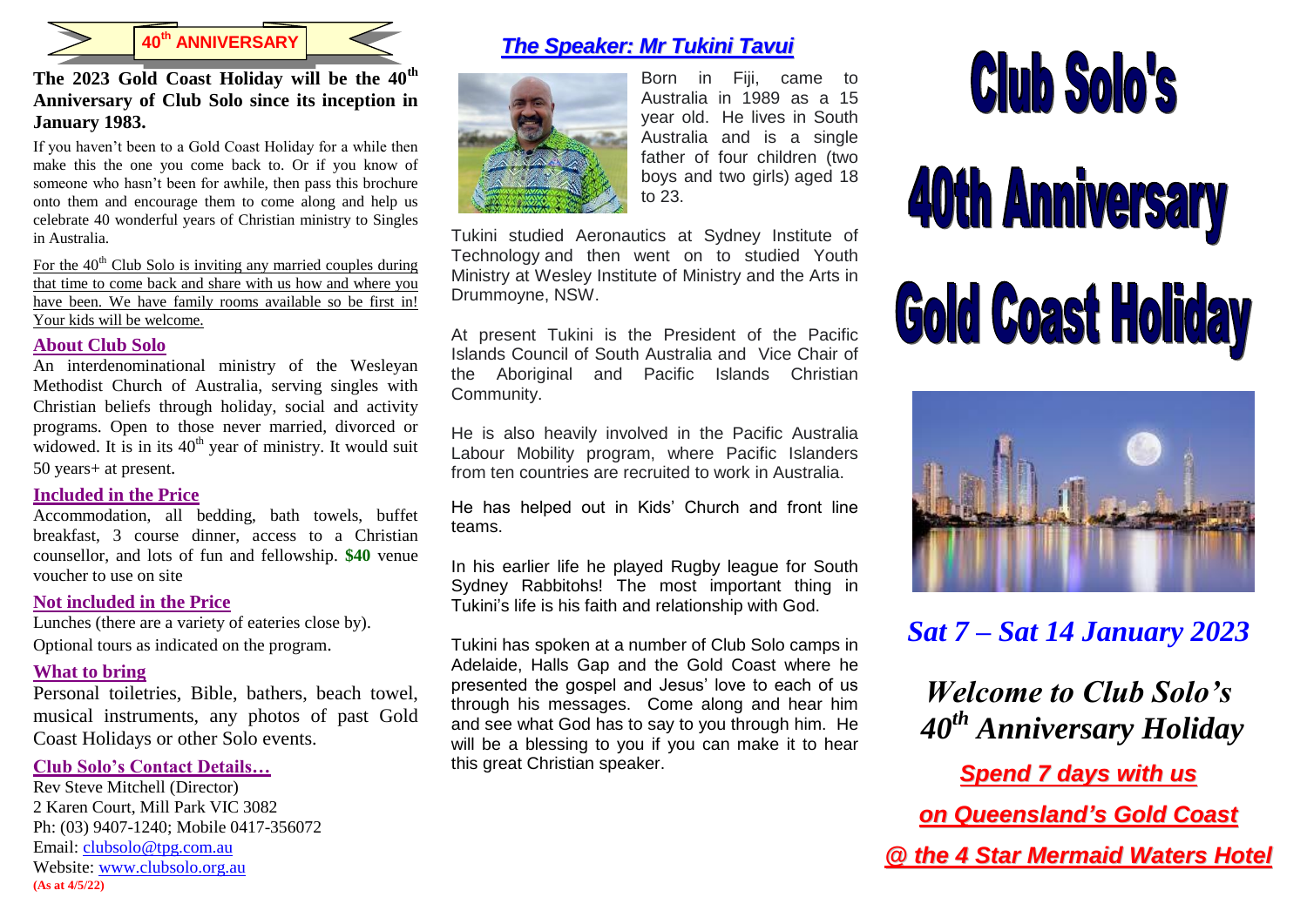

**40th ANNIVERSARY**

# **The 2023 Gold Coast Holiday will be the 40th Anniversary of Club Solo since its inception in January 1983.**

If you haven't been to a Gold Coast Holiday for a while then make this the one you come back to. Or if you know of someone who hasn't been for awhile, then pass this brochure onto them and encourage them to come along and help us celebrate 40 wonderful years of Christian ministry to Singles in Australia.

For the  $40<sup>th</sup>$  Club Solo is inviting any married couples during that time to come back and share with us how and where you have been. We have family rooms available so be first in! Your kids will be welcome.

### **About Club Solo**

An interdenominational ministry of the Wesleyan Methodist Church of Australia, serving singles with Christian beliefs through holiday, social and activity programs. Open to those never married, divorced or widowed. It is in its  $40<sup>th</sup>$  year of ministry. It would suit 50 years+ at present*.*

# **Included in the Price**

Accommodation, all bedding, bath towels, buffet breakfast, 3 course dinner, access to a Christian counsellor, and lots of fun and fellowship. **\$40** venue voucher to use on site

# **Not included in the Price**

Lunches (there are a variety of eateries close by). Optional tours as indicated on the program.

# **What to bring**

Personal toiletries, Bible, bathers, beach towel, musical instruments, any photos of past Gold Coast Holidays or other Solo events.

# **Club Solo's Contact Details…**

Rev Steve Mitchell (Director) 2 Karen Court, Mill Park VIC 3082 Ph: (03) 9407-1240; Mobile 0417-356072 Email: [clubsolo@tpg.com.au](mailto:clubsolo@tpg.com.au) Website: [www.clubsolo.org.au](http://www.clubsolo.org.au/) **(As at 4/5/22)**

# *The Speaker: Mr Tukini Tavui*



Born in Fiji, came to Australia in 1989 as a 15 year old. He lives in South Australia and is a single father of four children (two boys and two girls) aged 18 to 23.

Tukini studied Aeronautics at Sydney Institute of Technology and then went on to studied Youth Ministry at Wesley Institute of Ministry and the Arts in Drummoyne, NSW.

At present Tukini is the President of the Pacific Islands Council of South Australia and Vice Chair of the Aboriginal and Pacific Islands Christian Community.

He is also heavily involved in the Pacific Australia Labour Mobility program, where Pacific Islanders from ten countries are recruited to work in Australia.

He has helped out in Kids' Church and front line teams.

In his earlier life he played Rugby league for South Sydney Rabbitohs! The most important thing in Tukini's life is his faith and relationship with God.

Tukini has spoken at a number of Club Solo camps in Adelaide, Halls Gap and the Gold Coast where he presented the gospel and Jesus' love to each of us through his messages. Come along and hear him and see what God has to say to you through him. He will be a blessing to you if you can make it to hear this great Christian speaker.



**40th Anniversary Gold Coast Holiday** 



# *Sat 7 – Sat 14 January 2023*

*Welcome to Club Solo's 40th Anniversary Holiday* 

*Spend 7 days with us*

*on Queensland's Gold Coast*

*@ the 4 Star Mermaid Waters Hotel*